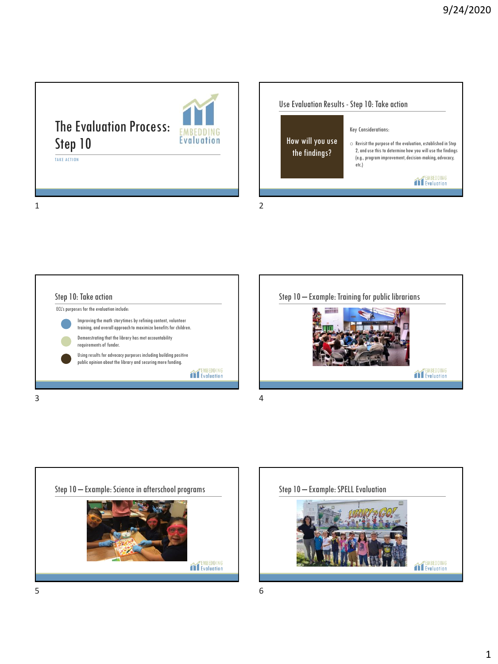The Evaluation Process: Step 10



TAKE ACTION

Use Evaluation Results - Step 10: Take action Key Considerations: How will you use  $\circ$  Revisit the purpose of the evaluation, established in Step the findings? 2, and use this to determine how you will use the findings (e.g., program improvement, decision-making, advocacy, etc.) TEMBEDDING<br>TEvaluation 1 2

Step 10: Take action ECL's purposes for the evaluation include: Improving the math storytimes by refining content, volunteer training, and overall approach to maximize benefits for children. Demonstrating that the library has met accountability requirements of funder. Using results for advocacy purposes including building positive public opinion about the library and securing more funding. EMBEDDING<br>TEvaluation  $3 \t 4$